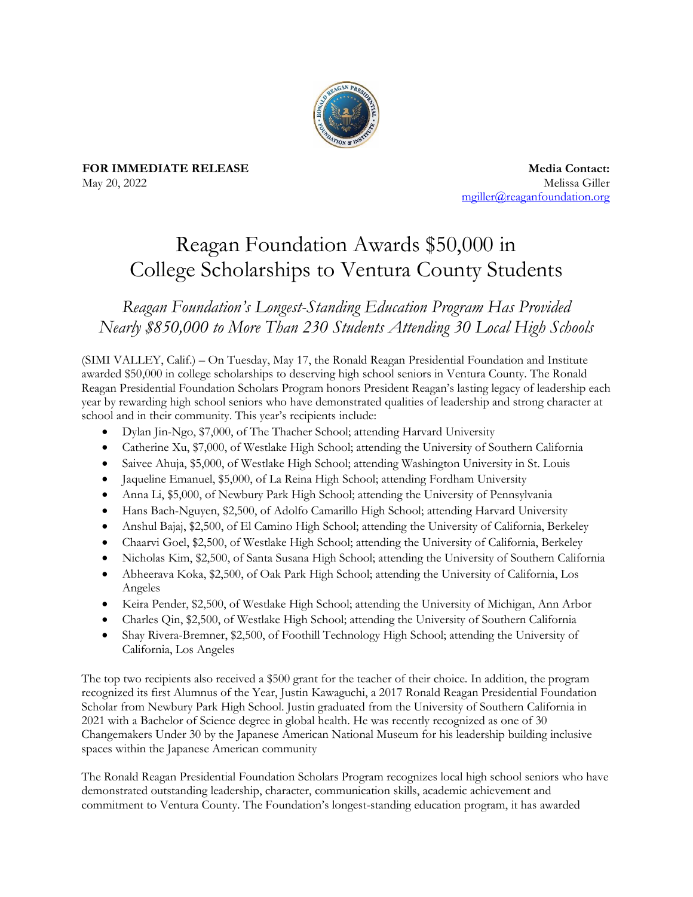

**FOR IMMEDIATE RELEASE** May 20, 2022

**Media Contact:** Melissa Giller [mgiller@reaganfoundation.org](mailto:mgiller@reaganfoundation.org) 

## Reagan Foundation Awards \$50,000 in College Scholarships to Ventura County Students

*Reagan Foundation's Longest-Standing Education Program Has Provided Nearly \$850,000 to More Than 230 Students Attending 30 Local High Schools*

(SIMI VALLEY, Calif.) – On Tuesday, May 17, the Ronald Reagan Presidential Foundation and Institute awarded \$50,000 in college scholarships to deserving high school seniors in Ventura County. The Ronald Reagan Presidential Foundation Scholars Program honors President Reagan's lasting legacy of leadership each year by rewarding high school seniors who have demonstrated qualities of leadership and strong character at school and in their community. This year's recipients include:

- Dylan Jin-Ngo, \$7,000, of The Thacher School; attending Harvard University
- Catherine Xu, \$7,000, of Westlake High School; attending the University of Southern California
- Saivee Ahuja, \$5,000, of Westlake High School; attending Washington University in St. Louis
- Jaqueline Emanuel, \$5,000, of La Reina High School; attending Fordham University
- Anna Li, \$5,000, of Newbury Park High School; attending the University of Pennsylvania
- Hans Bach-Nguyen, \$2,500, of Adolfo Camarillo High School; attending Harvard University
- Anshul Bajaj, \$2,500, of El Camino High School; attending the University of California, Berkeley
- Chaarvi Goel, \$2,500, of Westlake High School; attending the University of California, Berkeley
- Nicholas Kim, \$2,500, of Santa Susana High School; attending the University of Southern California
- Abheerava Koka, \$2,500, of Oak Park High School; attending the University of California, Los Angeles
- Keira Pender, \$2,500, of Westlake High School; attending the University of Michigan, Ann Arbor
- Charles Qin, \$2,500, of Westlake High School; attending the University of Southern California
- Shay Rivera-Bremner, \$2,500, of Foothill Technology High School; attending the University of California, Los Angeles

The top two recipients also received a \$500 grant for the teacher of their choice. In addition, the program recognized its first Alumnus of the Year, Justin Kawaguchi, a 2017 Ronald Reagan Presidential Foundation Scholar from Newbury Park High School. Justin graduated from the University of Southern California in 2021 with a Bachelor of Science degree in global health. He was recently recognized as one of 30 Changemakers Under 30 by the Japanese American National Museum for his leadership building inclusive spaces within the Japanese American community

The Ronald Reagan Presidential Foundation Scholars Program recognizes local high school seniors who have demonstrated outstanding leadership, character, communication skills, academic achievement and commitment to Ventura County. The Foundation's longest-standing education program, it has awarded